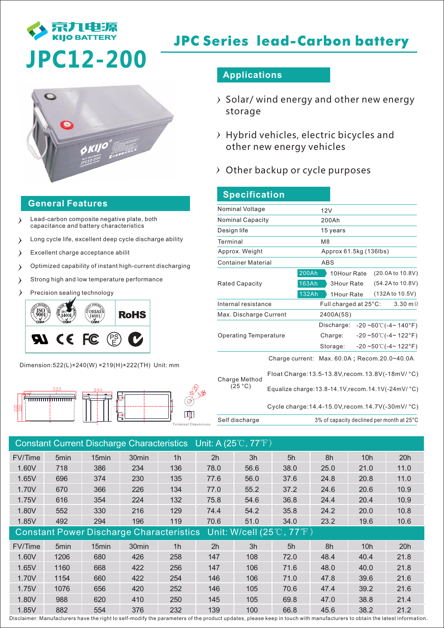

# **JPC Series lead-Carbon battery**

# **JPC12-200**



### **General Features**

- Lead-carbon composite negative plate, both  $\rightarrow$ capacitance and battery characteristics
- Long cycle life, excellent deep cycle discharge ability  $\rightarrow$
- $\rightarrow$ Excellent charge acceptance abilit
- Optimized capability of instant high-current discharging  $\lambda$
- Strong high and low temperature performance  $\lambda$
- Precision sealing technology  $\lambda$

I



Dimension:522(L)×240(W) ×219(H)×222(TH) Unit: mm



## **Applications**

- $\rightarrow$  Solar/ wind energy and other new energy storage
- $\rightarrow$  Hybrid vehicles, electric bicycles and other new energy vehicles
- $\rightarrow$  Other backup or cycle purposes

| <b>Specification</b>         |                       |                                                                                                                                                   |  |  |  |  |  |
|------------------------------|-----------------------|---------------------------------------------------------------------------------------------------------------------------------------------------|--|--|--|--|--|
| Nominal Voltage              |                       | 12V                                                                                                                                               |  |  |  |  |  |
| <b>Nominal Capacity</b>      |                       | 200Ah                                                                                                                                             |  |  |  |  |  |
| Design life                  |                       | 15 years                                                                                                                                          |  |  |  |  |  |
| Terminal                     |                       | M <sub>8</sub>                                                                                                                                    |  |  |  |  |  |
| Approx. Weight               |                       | Approx 61.5kg (136lbs)                                                                                                                            |  |  |  |  |  |
| <b>Container Material</b>    |                       | <b>ABS</b>                                                                                                                                        |  |  |  |  |  |
| <b>Rated Capacity</b>        | 200Ah<br><b>163Ah</b> | (20.0A to 10.8V)<br>10Hour Rate<br><b>3Hour Rate</b><br>(54.2A to 10.8V)                                                                          |  |  |  |  |  |
|                              | 132Ah                 | (132A to 10.5V)<br>1Hour Rate                                                                                                                     |  |  |  |  |  |
| Internal resistance          |                       | Full charged at 25°C:<br>$3.30 \text{ m}\Omega$                                                                                                   |  |  |  |  |  |
| Max. Discharge Current       |                       | 2400A(5S)                                                                                                                                         |  |  |  |  |  |
| <b>Operating Temperature</b> |                       | Discharge:<br>$-20 - 60^{\circ}$ ( $-4 - 140^{\circ}$ F)<br>$-20 - 50$ °C( $-4$ ~ 122°F)<br>Charge:<br>$-20 - 50^{\circ}$ (-4~ 122°F)<br>Storage: |  |  |  |  |  |
| Charge Method<br>(25 °C)     | Charge current:       | Max. 60.0A; Recom. 20.0~40.0A                                                                                                                     |  |  |  |  |  |
|                              |                       | Float Charge: 13.5-13.8V, recom. 13.8V (-18mV/ °C)<br>Equalize charge: 13.8-14.1V, recom. 14.1V(-24mV/ °C)                                        |  |  |  |  |  |
| Self discharge               |                       | Cycle charge: 14.4-15.0V, recom. 14.7V(-30mV/ °C)<br>3% of capacity declined per month at 25°C                                                    |  |  |  |  |  |

|                                                 |                  |       |                   |                | Constant Current Discharge Characteristics Unit: A (25°C, 77°F) |      |      |      |                 |      |  |
|-------------------------------------------------|------------------|-------|-------------------|----------------|-----------------------------------------------------------------|------|------|------|-----------------|------|--|
| FV/Time                                         | 5min             | 15min | 30min             | 1 <sub>h</sub> | 2h                                                              | 3h   | 5h   | 8h   | 10h             | 20h  |  |
| 1.60V                                           | 718              | 386   | 234               | 136            | 78.0                                                            | 56.6 | 38.0 | 25.0 | 21.0            | 11.0 |  |
| 1.65V                                           | 696              | 374   | 230               | 135            | 77.6                                                            | 56.0 | 37.6 | 24.8 | 20.8            | 11.0 |  |
| 1.70V                                           | 670              | 366   | 226               | 134            | 77.0                                                            | 55.2 | 37.2 | 24.6 | 20.6            | 10.9 |  |
| 1.75V                                           | 616              | 354   | 224               | 132            | 75.8                                                            | 54.6 | 36.8 | 24.4 | 20.4            | 10.9 |  |
| 1.80V                                           | 552              | 330   | 216               | 129            | 74.4                                                            | 54.2 | 35.8 | 24.2 | 20.0            | 10.8 |  |
| 1.85V                                           | 492              | 294   | 196               | 119            | 70.6                                                            | 51.0 | 34.0 | 23.2 | 19.6            | 10.6 |  |
| <b>Constant Power Discharge Characteristics</b> |                  |       |                   |                | Unit: W/cell $(25^{\circ}\text{C}, 77^{\circ}\text{F})$         |      |      |      |                 |      |  |
| FV/Time                                         | 5 <sub>min</sub> | 15min | 30 <sub>min</sub> | 1 <sub>h</sub> | 2 <sub>h</sub>                                                  | 3h   | 5h   | 8h   | 10 <sub>h</sub> | 20h  |  |
| 1.60V                                           | 1206             | 680   | 426               | 258            | 147                                                             | 108  | 72.0 | 48.4 | 40.4            | 21.8 |  |
| 1.65V                                           | 1160             | 668   | 422               | 256            | 147                                                             | 106  | 71.6 | 48.0 | 40.0            | 21.8 |  |
| 1.70V                                           | 1154             | 660   | 422               | 254            | 146                                                             | 106  | 71.0 | 47.8 | 39.6            | 21.6 |  |
| 1.75V                                           | 1076             | 656   | 420               | 252            | 146                                                             | 105  | 70.6 | 47.4 | 39.2            | 21.6 |  |
| 1.80V                                           | 988              | 620   | 410               | 250            | 145                                                             | 105  | 69.8 | 47.0 | 38.8            | 21.4 |  |
| 1.85V                                           | 882              | 554   | 376               | 232            | 139                                                             | 100  | 66.8 | 45.6 | 38.2            | 21.2 |  |

Disclaimer: Manufacturers have the right to self-modify the parameters of the product updates, please keep in touch with manufacturers to obtain the latest information.